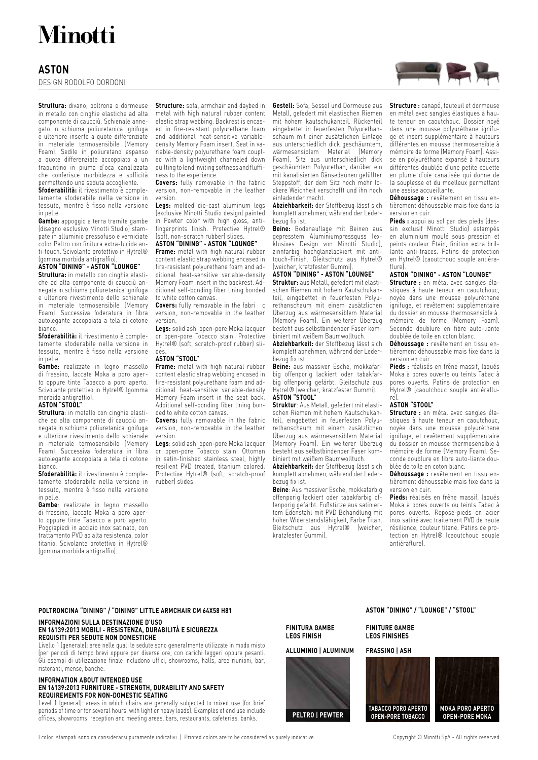# **Minotti**

### **ASTON**

DESIGN RODOLFO DORDONI

**Struttura:** divano, poltrona e dormeuse in metallo con cinghie elastiche ad alta componente di caucciù. Schienale annegato in schiuma poliuretanica ignifuga e ulteriore inserto a quote differenziate in materiale termosensibile (Memory Foam). Sedile in poliuretano espanso a quote differenziate accoppiato a un trapuntino in piuma d'oca canalizzata che conferisce morbidezza e sofficità permettendo una seduta accogliente.

**Sfoderabilità:** il rivestimento è completamente sfoderabile nella versione in tessuto, mentre è fisso nella versione in pelle.

**Gambe:** appoggio a terra tramite gambe (disegno esclusivo Minotti Studio) stampate in alluminio pressofuso e verniciate color Peltro con finitura extra-lucida anti-touch. Scivolante protettivo in Hytrel® (gomma morbida antigraffio).

#### **ASTON "DINING" - ASTON "LOUNGE"**

**Struttura:** in metallo con cinghie elastiche ad alta componente di caucciù annegata in schiuma poliuretanica ignifuga e ulteriore rivestimento dello schienale in materiale termosensibile (Memory Foam). Successiva foderatura in fibra autolegante accoppiata a tela di cotone bianco.

**Sfoderabilità:** il rivestimento è completamente sfoderabile nella versione in tessuto, mentre è fisso nella versione in pelle.

**Gambe:** realizzate in legno massello di frassino, laccate Moka a poro aperto oppure tinte Tabacco a poro aperto. Scivolante protettivo in Hytrel® (gomma morbida antigraffio).

#### **ASTON "STOOL"**

**Struttura**: in metallo con cinghie elastiche ad alta componente di caucciù annegata in schiuma poliuretanica ignifuga e ulteriore rivestimento dello schienale in materiale termosensibile (Memory Foam). Successiva foderatura in fibra autolegante accoppiata a tela di cotone bianco.

**Sfoderabilità:** il rivestimento è completamente sfoderabile nella versione in tessuto, mentre è fisso nella versione in pelle.

**Gambe**: realizzate in legno massello di frassino, laccate Moka a poro aperto oppure tinte Tabacco a poro aperto. Poggiapiedi in acciaio inox satinato, con trattamento PVD ad alta resistenza, color titanio. Scivolante protettivo in Hytrel® (gomma morbida antigraffio).

**Structure:** sofa, armchair and daybed in metal with high natural rubber content elastic strap webbing. Backrest is encased in fire-resistant polyurethane foam and additional heat-sensitive variabledensity Memory Foam insert. Seat in variable-density polyurethane foam coupled with a lightweight channeled down quilting to lend inviting softness and fluffiness to the experience.

**Covers:** fully removable in the fabric version, non-removable in the leather version.

**Legs:** molded die-cast aluminum legs (exclusive Minotti Studio design) painted in Pewter color with high gloss, antifingerprints finish. Protective Hytrel® (soft, non-scratch rubber) slides.

#### **ASTON "DINING" - ASTON "LOUNGE"**

**Frame:** metal with high natural rubber content elastic strap webbing encased in fire-resistant polyurethane foam and additional heat-sensitive variable-density Memory Foam insert in the backrest. Additional self-bonding fiber lining bonded to white cotton canvas.

**Covers:** fully removable in the fabri c version, non-removable in the leather version.

**Legs:** solid ash, open-pore Moka lacquer or open-pore Tobacco stain. Protective Hytrel® (soft, scratch-proof rubber) slides.

#### **ASTON "STOOL"**

**Frame:** metal with high natural rubber content elastic strap webbing encased in fire-resistant polyurethane foam and additional heat-sensitive variable-density Memory Foam insert in the seat back. Additional self-bonding fiber lining bon-

ded to white cotton canvas. **Covers:** fully removable in the fabric version, non-removable in the leather version.

**Legs**: solid ash, open-pore Moka lacquer or open-pore Tobacco stain. Ottoman in satin-finished stainless steel, highly resilient PVD treated, titanium colored. Protective Hytrel® (soft, scratch-proof rubber) slides.

**Gestell:** Sofa, Sessel und Dormeuse aus Metall, gefedert mit elastischen Riemen mit hohem kautschukanteil. Rückenteil eingebettet in feuerfesten Polyurethanschaum mit einer zusätzlichen Einlage aus unterschiedlich dick geschäumtem, wärmesensiblem Material (Memory Foam). Sitz aus unterschiedlich dick geschäumtem Polyurethan, darüber ein mit kanalisierten Gänsedaunen gefüllter Steppstoff, der dem Sitz noch mehr lockere Weichheit verschafft und ihn noch einladender macht.

**Abziehbarkeit:** der Stoffbezug lässt sich komplett abnehmen, während der Lederbezug fix ist.

**Beine:** Bodenauflage mit Beinen aus gepresstem Aluminiumpressguss (exklusives Design von Minotti Studio), zinnfarbig hochglanzlackiert mit antitouch-Finish. Gleitschutz aus Hytrel® (weicher, kratzfester Gummi).

#### **ASTON "DINING" - ASTON "LOUNGE"**

**Struktur:** aus Metall, gefedert mit elastischen Riemen mit hohem Kautschukanteil, eingebettet in feuerfesten Polyurethanschaum mit einem zusätzlichen Überzug aus wärmesensiblem Material (Memory Foam). Ein weiterer Überzug besteht aus selbstbindender Faser kombiniert mit weißem Baumwolltuch.

**Abziehbarkeit:** der Stoffbezug lässt sich komplett abnehmen, während der Lederbezug fix ist.

**Beine:** aus massiver Esche, mokkafarbig offenporig lackiert oder tabakfarbig offenporig gefärbt. Gleitschutz aus Hytrel® (weicher, kratzfester Gummi). **ASTON "STOOL"**

**Struktur**: Aus Metall, gefedert mit elastischen Riemen mit hohem Kautschukanteil, eingebettet in feuerfesten Polyurethanschaum mit einem zusätzlichen Überzug aus wärmesensiblem Material (Memory Foam). Ein weiterer Überzug besteht aus selbstbindender Faser kombiniert mit weißem Baumwolltuch.

**Abziehbarkeit:** der Stoffbezug lässt sich komplett abnehmen, während der Lederbezug fix ist.

**Beine**: Aus massiver Esche, mokkafarbig offenporig lackiert oder tabakfarbig offenporig gefärbt. Fußstütze aus satiniertem Edenstahl mit PVD Behandlung mit höher Widerstandsfähigkeit, Farbe Titan. Gleitschutz aus Hytrel® (weicher, kratzfester Gummi).

**Structure :** canapé, fauteuil et dormeuse en métal avec sangles élastiques à haute teneur en caoutchouc. Dossier noyé dans une mousse polyuréthane ignifuge et insert supplémentaire à hauteurs différentes en mousse thermosensible à mémoire de forme (Memory Foam). Assise en polyuréthane expansé à hauteurs différentes doublée d'une petite couette en plume d'oie canalisée qui donne de la souplesse et du moelleux permettant une assise accueillante.

**Déhoussage :** revêtement en tissu entièrement déhoussable mais fixe dans la version en cuir.

**Pieds :** appui au sol par des pieds (dessin exclusif Minotti Studio) estampés en aluminium moulé sous pression et peints couleur Étain, finition extra brillante anti-traces. Patins de protection en Hytrel® (caoutchouc souple antiéraflure).

#### **ASTON "DINING" - ASTON "LOUNGE"**

**Structure :** en métal avec sangles élastiques à haute teneur en caoutchouc, noyée dans une mousse polyuréthane ignifuge, et revêtement supplémentaire du dossier en mousse thermosensible à mémoire de forme (Memory Foam). Seconde doublure en fibre auto-liante doublée de toile en coton blanc.

**Déhoussage :** revêtement en tissu entièrement déhoussable mais fixe dans la version en cuir.

**Pieds :** réalisés en frêne massif, laqués Moka à pores ouverts ou teints Tabac à pores ouverts. Patins de protection en Hytrel® (caoutchouc souple antiéraflure).

#### **ASTON "STOOL"**

**Structure :** en métal avec sangles élastiques à haute teneur en caoutchouc, noyée dans une mousse polyuréthane ignifuge, et revêtement supplémentaire du dossier en mousse thermosensible à mémoire de forme (Memory Foam). Seconde doublure en fibre auto-liante doublée de toile en coton blanc.

**Déhoussage :** revêtement en tissu entièrement déhoussable mais fixe dans la version en cuir.

**Pieds:** réalisés en frêne massif, laqués Moka à pores ouverts ou teints Tabac à pores ouverts. Repose-pieds en acier inox satiné avec traitement PVD de haute résilience, couleur titane. Patins de protection en Hytrel® (caoutchouc souple antiéraflure).

#### **POLTRONCINA "DINING" / "DINING" LITTLE ARMCHAIR CM 64X58 H81**

#### **INFORMAZIONI SULLA DESTINAZIONE D'USO EN 16139:2013 MOBILI - RESISTENZA, DURABILITÀ E SICUREZZA REQUISITI PER SEDUTE NON DOMESTICHE**

Livello 1 (generale): aree nelle quali le sedute sono generalmente utilizzate in modo misto (per periodi di tempo brevi oppure per diverse ore, con carichi leggeri oppure pesanti. Gli esempi di utilizzazione finale includono uffici, showrooms, halls, aree riunioni, bar, ristoranti, mense, banche.

#### **INFORMATION ABOUT INTENDED USE EN 16139:2013 FURNITURE - STRENGTH, DURABILITY AND SAFETY REQUIREMENTS FOR NON-DOMESTIC SEATING**

Level 1 (general): areas in which chairs are generally subjected to mixed use (for brief periods of time or for several hours, with light or heavy loads). Examples of end use include offices, showrooms, reception and meeting areas, bars, restaurants, cafeterias, banks.

I colori stampati sono da considerarsi puramente indicativi | Printed colors are to be considered as purely indicative Copyright © Minotti SpA - All rights reserved

**ASTON "DINING" / "LOUNGE" / "STOOL"**

**FINITURE GAMBE LEGS FINISHES**

#### **ALLUMINIO | ALUMINUM**



**FINITURA GAMBE LEGS FINISH**

**FRASSINO | ASH**